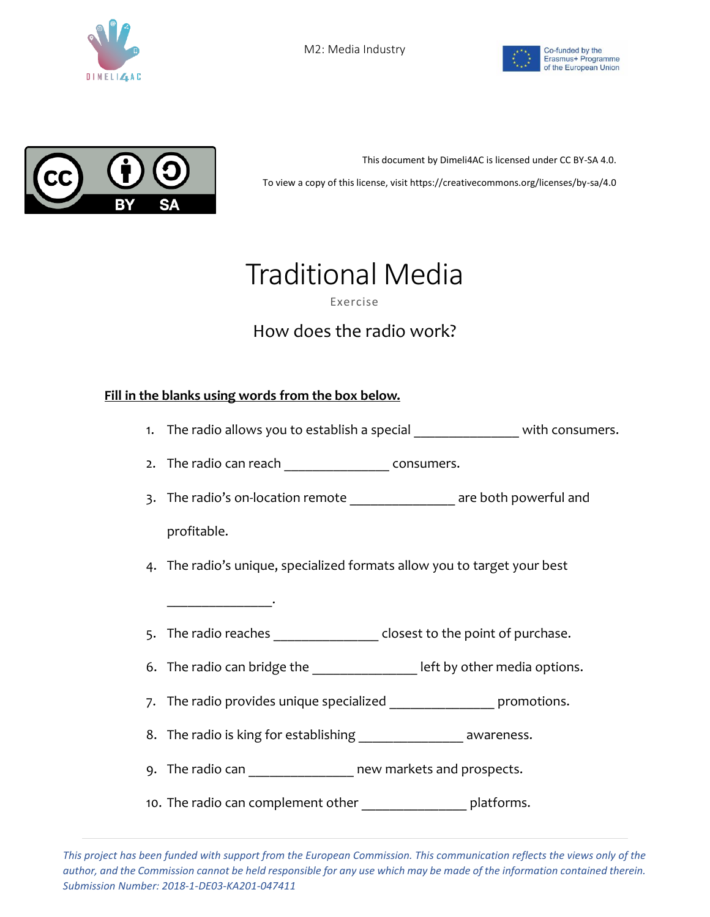





This document by Dimeli4AC is licensed under CC BY-SA 4.0. To view a copy of this license, visit https://creativecommons.org/licenses/by-sa/4.0

## Traditional Media

Exercise

## How does the radio work?

## **Fill in the blanks using words from the box below.**

\_\_\_\_\_\_\_\_\_\_\_\_\_\_\_.

- 1. The radio allows you to establish a special \_\_\_\_\_\_\_\_\_\_\_\_\_\_\_\_\_ with consumers.
- 2. The radio can reach example resonance consumers.
- 3. The radio's on-location remote \_\_\_\_\_\_\_\_\_\_\_\_\_\_\_\_\_\_\_\_ are both powerful and profitable.
- 4. The radio's unique, specialized formats allow you to target your best
- 5. The radio reaches **the closest to the point of purchase.**
- 6. The radio can bridge the \_\_\_\_\_\_\_\_\_\_\_\_\_\_\_\_\_ left by other media options.
- 7. The radio provides unique specialized \_\_\_\_\_\_\_\_\_\_\_\_\_\_\_\_\_\_\_ promotions.
- 8. The radio is king for establishing \_\_\_\_\_\_\_\_\_\_\_\_\_\_\_\_ awareness.
- 9. The radio can **contact and prospects**.
- 10. The radio can complement other **the contract of the random** platforms.

*This project has been funded with support from the European Commission. This communication reflects the views only of the author, and the Commission cannot be held responsible for any use which may be made of the information contained therein. Submission Number: 2018-1-DE03-KA201-047411*